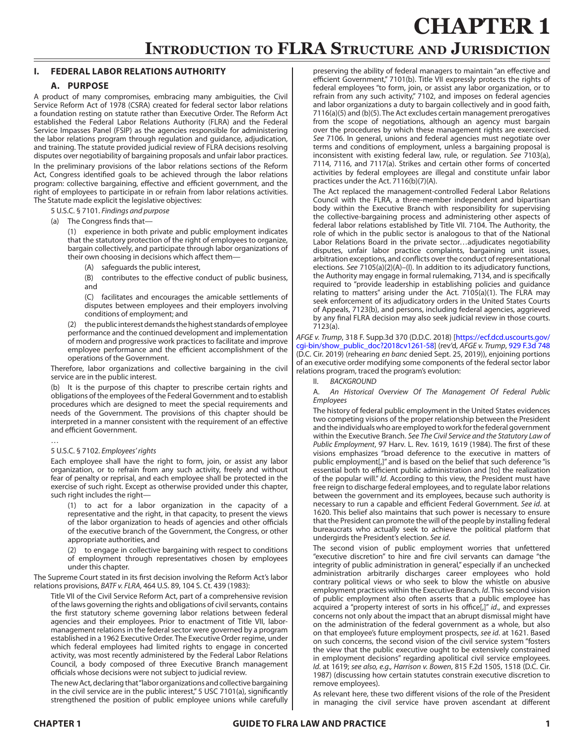# **Introduction to FLRA Structure and Jurisdiction**

# **I. FEDERAL LABOR RELATIONS AUTHORITY**

# **A. PURPOSE**

A product of many compromises, embracing many ambiguities, the Civil Service Reform Act of 1978 (CSRA) created for federal sector labor relations a foundation resting on statute rather than Executive Order. The Reform Act established the Federal Labor Relations Authority (FLRA) and the Federal Service Impasses Panel (FSIP) as the agencies responsible for administering the labor relations program through regulation and guidance, adjudication, and training. The statute provided judicial review of FLRA decisions resolving disputes over negotiability of bargaining proposals and unfair labor practices. In the preliminary provisions of the labor relations sections of the Reform Act, Congress identified goals to be achieved through the labor relations program: collective bargaining, effective and efficient government, and the right of employees to participate in or refrain from labor relations activities. The Statute made explicit the legislative objectives:

5 U.S.C. § 7101. *Findings and purpose*

(a) The Congress finds that—

(1) experience in both private and public employment indicates that the statutory protection of the right of employees to organize, bargain collectively, and participate through labor organizations of their own choosing in decisions which affect them—

(A) safeguards the public interest,

(B) contributes to the effective conduct of public business, and

(C) facilitates and encourages the amicable settlements of disputes between employees and their employers involving conditions of employment; and

(2) the public interest demands the highest standards of employee performance and the continued development and implementation of modern and progressive work practices to facilitate and improve employee performance and the efficient accomplishment of the operations of the Government.

Therefore, labor organizations and collective bargaining in the civil service are in the public interest.

(b) It is the purpose of this chapter to prescribe certain rights and obligations of the employees of the Federal Government and to establish procedures which are designed to meet the special requirements and needs of the Government. The provisions of this chapter should be interpreted in a manner consistent with the requirement of an effective and efficient Government.

#### 5 U.S.C. § 7102. *Employees' rights*

…

Each employee shall have the right to form, join, or assist any labor organization, or to refrain from any such activity, freely and without fear of penalty or reprisal, and each employee shall be protected in the exercise of such right. Except as otherwise provided under this chapter, such right includes the right—

(1) to act for a labor organization in the capacity of a representative and the right, in that capacity, to present the views of the labor organization to heads of agencies and other officials of the executive branch of the Government, the Congress, or other appropriate authorities, and

(2) to engage in collective bargaining with respect to conditions of employment through representatives chosen by employees under this chapter.

The Supreme Court stated in its first decision involving the Reform Act's labor relations provisions, *BATF v. FLRA*, 464 U.S. 89, 104 S. Ct. 439 (1983):

Title VII of the Civil Service Reform Act, part of a comprehensive revision of the laws governing the rights and obligations of civil servants, contains the first statutory scheme governing labor relations between federal agencies and their employees. Prior to enactment of Title VII, labormanagement relations in the federal sector were governed by a program established in a 1962 Executive Order. The Executive Order regime, under which federal employees had limited rights to engage in concerted activity, was most recently administered by the Federal Labor Relations Council, a body composed of three Executive Branch management officials whose decisions were not subject to judicial review.

The new Act, declaring that "labor organizations and collective bargaining in the civil service are in the public interest," 5 USC 7101(a), significantly strengthened the position of public employee unions while carefully preserving the ability of federal managers to maintain "an effective and efficient Government," 7101(b). Title VII expressly protects the rights of federal employees "to form, join, or assist any labor organization, or to refrain from any such activity," 7102, and imposes on federal agencies and labor organizations a duty to bargain collectively and in good faith, 7116(a)(5) and (b)(5). The Act excludes certain management prerogatives from the scope of negotiations, although an agency must bargain over the procedures by which these management rights are exercised. *See* 7106. In general, unions and federal agencies must negotiate over terms and conditions of employment, unless a bargaining proposal is inconsistent with existing federal law, rule, or regulation. *See* 7103(a), 7114, 7116, and 7117(a). Strikes and certain other forms of concerted activities by federal employees are illegal and constitute unfair labor practices under the Act. 7116(b)(7)(A).

The Act replaced the management-controlled Federal Labor Relations Council with the FLRA, a three-member independent and bipartisan body within the Executive Branch with responsibility for supervising the collective-bargaining process and administering other aspects of federal labor relations established by Title VII. 7104. The Authority, the role of which in the public sector is analogous to that of the National Labor Relations Board in the private sector…adjudicates negotiability disputes, unfair labor practice complaints, bargaining unit issues, arbitration exceptions, and conflicts over the conduct of representational elections. *See* 7105(a)(2)(A)–(I). In addition to its adjudicatory functions, the Authority may engage in formal rulemaking, 7134, and is specifically required to "provide leadership in establishing policies and guidance relating to matters" arising under the Act. 7105(a)(1). The FLRA may seek enforcement of its adjudicatory orders in the United States Courts of Appeals, 7123(b), and persons, including federal agencies, aggrieved by any final FLRA decision may also seek judicial review in those courts. 7123(a).

*AFGE v. Trump*, 318 F. Supp.3d 370 (D.D.C. 2018) [[https://ecf.dcd.uscourts.gov/](https://ecf.dcd.uscourts.gov/cgi-bin/show_public_doc?2018cv1261-58) [cgi-bin/show\\_public\\_doc?2018cv1261-58\]](https://ecf.dcd.uscourts.gov/cgi-bin/show_public_doc?2018cv1261-58) (rev'd, *AFGE v. Trump*, [929 F.3d 748](https://www.leagle.com/decision/infco20190716129) (D.C. Cir. 2019) (rehearing *en banc* denied Sept. 25, 2019)), enjoining portions of an executive order modifying some components of the federal sector labor relations program, traced the program's evolution:

**BACKGROUND** 

A. *An Historical Overview Of The Management Of Federal Public Employees*

The history of federal public employment in the United States evidences two competing visions of the proper relationship between the President and the individuals who are employed to work for the federal government within the Executive Branch. *See The Civil Service and the Statutory Law of Public Employment*, 97 Harv. L. Rev. 1619, 1619 (1984). The first of these visions emphasizes "broad deference to the executive in matters of public employment[,]" and is based on the belief that such deference "is essential both to efficient public administration and [to] the realization of the popular will." *Id*. According to this view, the President must have free reign to discharge federal employees, and to regulate labor relations between the government and its employees, because such authority is necessary to run a capable and efficient Federal Government. *See id*. at 1620. This belief also maintains that such power is necessary to ensure that the President can promote the will of the people by installing federal bureaucrats who actually seek to achieve the political platform that undergirds the President's election. *See id*.

The second vision of public employment worries that unfettered "executive discretion" to hire and fire civil servants can damage "the integrity of public administration in general," especially if an unchecked administration arbitrarily discharges career employees who hold contrary political views or who seek to blow the whistle on abusive employment practices within the Executive Branch. *Id*. This second vision of public employment also often asserts that a public employee has acquired a "property interest of sorts in his office[,]" *id*., and expresses concerns not only about the impact that an abrupt dismissal might have on the administration of the federal government as a whole, but also on that employee's future employment prospects, *see id*. at 1621. Based on such concerns, the second vision of the civil service system "fosters the view that the public executive ought to be extensively constrained in employment decisions" regarding apolitical civil service employees. *Id*. at 1619; *see also, e.g., Harrison v. Bowen*, 815 F.2d 1505, 1518 (D.C. Cir. 1987) (discussing how certain statutes constrain executive discretion to remove employees).

As relevant here, these two different visions of the role of the President in managing the civil service have proven ascendant at different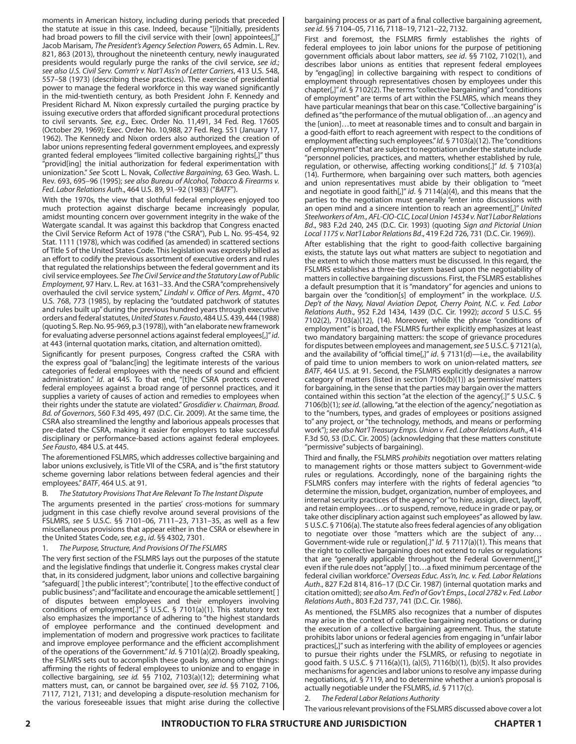moments in American history, including during periods that preceded the statute at issue in this case. Indeed, because "[i]nitially, presidents had broad powers to fill the civil service with their [own] appointees[,]" Jacob Marisam, *The President's Agency Selection Powers*, 65 Admin. L. Rev. 821, 863 (2013), throughout the nineteenth century, newly inaugurated presidents would regularly purge the ranks of the civil service, *see id*.; *see also U.S. Civil Serv. Comm'r v. Nat'l Ass'n of Letter Carriers*, 413 U.S. 548, 557–58 (1973) (describing these practices). The exercise of presidential power to manage the federal workforce in this way waned significantly in the mid-twentieth century, as both President John F. Kennedy and President Richard M. Nixon expressly curtailed the purging practice by issuing executive orders that afforded significant procedural protections to civil servants. *See, e.g*., Exec. Order No. 11,491, 34 Fed. Reg. 17605 (October 29, 1969); Exec. Order No. 10,988, 27 Fed. Reg. 551 (January 17, 1962). The Kennedy and Nixon orders also authorized the creation of labor unions representing federal government employees, and expressly granted federal employees "limited collective bargaining rights[,]" thus "provid[ing] the initial authorization for federal experimentation with unionization." *See* Scott L. Novak, *Collective Bargaining*, 63 Geo. Wash. L. Rev. 693, 695–96 (1995); *see also Bureau of Alcohol, Tobacco & Firearms v. Fed. Labor Relations Auth*., 464 U.S. 89, 91–92 (1983) ("*BATF*").

With the 1970s, the view that slothful federal employees enjoyed too much protection against discharge became increasingly popular, amidst mounting concern over government integrity in the wake of the Watergate scandal. It was against this backdrop that Congress enacted the Civil Service Reform Act of 1978 ("the CSRA"), Pub L. No. 95-454, 92 Stat. 1111 (1978), which was codified (as amended) in scattered sections of Title 5 of the United States Code. This legislation was expressly billed as an effort to codify the previous assortment of executive orders and rules that regulated the relationships between the federal government and its civil service employees. *See The Civil Service and the Statutory Law of Public Employment*, 97 Harv. L. Rev. at 1631–33. And the CSRA "comprehensively overhauled the civil service system," *Lindahl v. Office of Pers. Mgmt*., 470 U.S. 768, 773 (1985), by replacing the "outdated patchwork of statutes and rules built up" during the previous hundred years through executive orders and federal statutes, *United States v. Fausto*, 484 U.S. 439, 444 (1988) (quoting S. Rep. No. 95-969, p.3 (1978)), with "an elaborate new framework for evaluating adverse personnel actions against federal employees[,]" *id*. at 443 (internal quotation marks, citation, and alternation omitted).

Significantly for present purposes, Congress crafted the CSRA with the express goal of "balanc[ing] the legitimate interests of the various categories of federal employees with the needs of sound and efficient administration." *Id*. at 445. To that end, "[t]he CSRA protects covered federal employees against a broad range of personnel practices, and it supplies a variety of causes of action and remedies to employees when their rights under the statute are violated." *Grosdidier v. Chairman, Broad. Bd. of Governors*, 560 F.3d 495, 497 (D.C. Cir. 2009). At the same time, the CSRA also streamlined the lengthy and laborious appeals processes that pre-dated the CSRA, making it easier for employers to take successful disciplinary or performance-based actions against federal employees. *See Fausto*, 484 U.S. at 445.

The aforementioned FSLMRS, which addresses collective bargaining and labor unions exclusively, is Title VII of the CSRA, and is "the first statutory scheme governing labor relations between federal agencies and their employees." *BATF*, 464 U.S. at 91.

#### B. *The Statutory Provisions That Are Relevant To The Instant Dispute*

The arguments presented in the parties' cross-motions for summary judgment in this case chiefly revolve around several provisions of the FSLMRS, *see* 5 U.S.C. §§ 7101–06, 7111–23, 7131–35, as well as a few miscellaneous provisions that appear either in the CSRA or elsewhere in the United States Code, *see, e.g., id*. §§ 4302, 7301.

#### 1. *The Purpose, Structure, And Provisions Of The FSLMRS*

The very first section of the FSLMRS lays out the purposes of the statute and the legislative findings that underlie it. Congress makes crystal clear that, in its considered judgment, labor unions and collective bargaining "safeguard[ ] the public interest"; "contribute[ ] to the effective conduct of public business"; and "facilitate and encourage the amicable settlement[ ] of disputes between employees and their employers involving conditions of employment[.]" 5 U.S.C. § 7101(a)(1). This statutory text also emphasizes the importance of adhering to "the highest standards of employee performance and the continued development and implementation of modern and progressive work practices to facilitate and improve employee performance and the efficient accomplishment of the operations of the Government." *Id*. § 7101(a)(2). Broadly speaking, the FSLMRS sets out to accomplish these goals by, among other things: affirming the rights of federal employees to unionize and to engage in collective bargaining, *see id.* §§ 7102, 7103(a)(12); determining what matters must, can, or cannot be bargained over, *see id*. §§ 7102, 7106, 7117, 7121, 7131; and developing a dispute-resolution mechanism for the various foreseeable issues that might arise during the collective bargaining process or as part of a final collective bargaining agreement, *see id*. §§ 7104–05, 7116, 7118–19, 7121–22, 7132.

First and foremost, the FSLMRS firmly establishes the rights of federal employees to join labor unions for the purpose of petitioning government officials about labor matters, *see id*. §§ 7102, 7102(1), and describes labor unions as entities that represent federal employees by "engag[ing] in collective bargaining with respect to conditions of employment through representatives chosen by employees under this chapter[,]" *id*. § 7102(2). The terms "collective bargaining" and "conditions of employment" are terms of art within the FSLMRS, which means they have particular meanings that bear on this case. "Collective bargaining" is defined as "the performance of the mutual obligation of…an agency and the [union]…to meet at reasonable times and to consult and bargain in a good-faith effort to reach agreement with respect to the conditions of employment affecting such employees." *Id*. § 7103(a)(12). The "conditions of employment" that are subject to negotiation under the statute include "personnel policies, practices, and matters, whether established by rule, regulation, or otherwise, affecting working conditions[.]" *Id*. § 7103(a) (14). Furthermore, when bargaining over such matters, both agencies and union representatives must abide by their obligation to "meet and negotiate in good faith[,]" *id*. § 7114(a)(4), and this means that the parties to the negotiation must generally "enter into discussions with an open mind and a sincere intention to reach an agreement[,]" *United Steelworkers of Am., AFL-CIO-CLC, Local Union 14534 v. Nat'l Labor Relations Bd*., 983 F.2d 240, 245 (D.C. Cir. 1993) (quoting *Sign and Pictorial Union Local 1175 v. Nat'l Labor Relations Bd*., 419 F.2d 726, 731 (D.C. Cir. 1969)).

After establishing that the right to good-faith collective bargaining exists, the statute lays out what matters are subject to negotiation and the extent to which those matters must be discussed. In this regard, the FSLMRS establishes a three-tier system based upon the negotiability of matters in collective bargaining discussions. First, the FSLMRS establishes a default presumption that it is "mandatory" for agencies and unions to bargain over the "condition[s] of employment" in the workplace. *U.S. Dep't of the Navy, Naval Aviation Depot, Cherry Point, N.C. v. Fed. Labor Relations Auth*., 952 F.2d 1434, 1439 (D.C. Cir. 1992); *accord* 5 U.S.C. §§ 7102(2), 7103(a)(12), (14). Moreover, while the phrase "conditions of employment" is broad, the FSLMRS further explicitly emphasizes at least two mandatory bargaining matters: the scope of grievance procedures for disputes between employees and management, *see* 5 U.S.C. § 7121(a), and the availability of "official time[,]" *id*. § 7131(d)—i.e., the availability of paid time to union members to work on union-related matters, *see BATF*, 464 U.S. at 91. Second, the FSLMRS explicitly designates a narrow category of matters (listed in section 7106(b)(1)) as 'permissive' matters for bargaining, in the sense that the parties may bargain over the matters contained within this section "at the election of the agency[.]" 5 U.S.C. § 7106(b)(1); *see id*. (allowing, "at the election of the agency," negotiation as to the "numbers, types, and grades of employees or positions assigned to" any project, or "the technology, methods, and means or performing work"); *see also Nat'l Treasury Emps. Union v. Fed. Labor Relations Auth*., 414 F.3d 50, 53 (D.C. Cir. 2005) (acknowledging that these matters constitute "permissive" subjects of bargaining).

Third and finally, the FSLMRS *prohibits* negotiation over matters relating to management rights or those matters subject to Government-wide rules or regulations. Accordingly, none of the bargaining rights the FSLMRS confers may interfere with the rights of federal agencies "to determine the mission, budget, organization, number of employees, and internal security practices of the agency" or "to hire, assign, direct, layoff, and retain employees…or to suspend, remove, reduce in grade or pay, or take other disciplinary action against such employees" as allowed by law. 5 U.S.C. § 7106(a). The statute also frees federal agencies of any obligation to negotiate over those "matters which are the subject of any… Government-wide rule or regulation[.]" *Id*. § 7117(a)(1). This means that the right to collective bargaining does not extend to rules or regulations that are "generally applicable throughout the Federal Government[,]" even if the rule does not "apply[ ] to…a fixed minimum percentage of the federal civilian workforce." *Overseas Educ. Ass'n, Inc. v. Fed. Labor Relations Auth*., 827 F.2d 814, 816–17 (D.C Cir. 1987) (internal quotation marks and citation omitted); *see also Am. Fed'n of Gov't Emps., Local 2782 v. Fed. Labor Relations Auth*., 803 F.2d 737, 741 (D.C. Cir. 1986).

As mentioned, the FSLMRS also recognizes that a number of disputes may arise in the context of collective bargaining negotiations or during the execution of a collective bargaining agreement. Thus, the statute prohibits labor unions or federal agencies from engaging in "unfair labor practices[,]" such as interfering with the ability of employees or agencies to pursue their rights under the FSLMRS, or refusing to negotiate in good faith. 5 U.S.C. § 7116(a)(1), (a)(5), 7116(b)(1), (b)(5). It also provides mechanisms for agencies and labor unions to resolve any impasse during negotiations, *id*. § 7119, and to determine whether a union's proposal is actually negotiable under the FSLMRS, *id*. § 7117(c).

2. *The Federal Labor Relations Authority*

The various relevant provisions of the FSLMRS discussed above cover a lot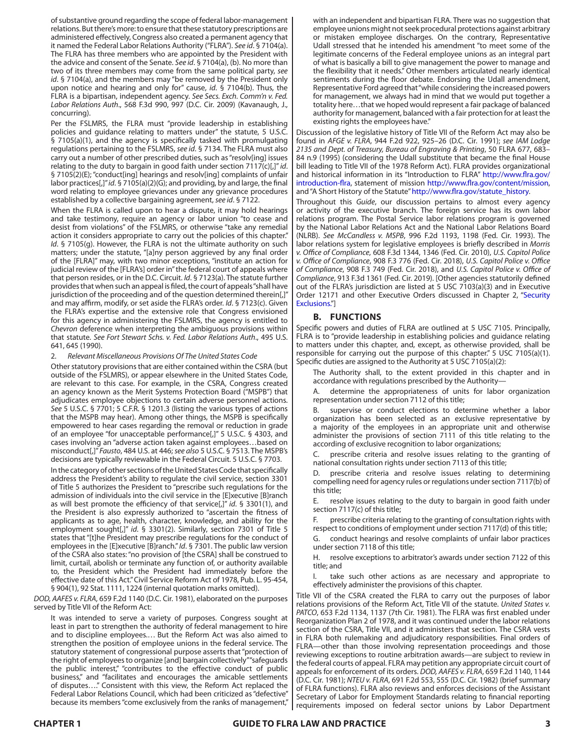of substantive ground regarding the scope of federal labor-management relations. But there's more: to ensure that these statutory prescriptions are administered effectively, Congress also created a permanent agency that it named the Federal Labor Relations Authority ("FLRA"). *See id*. § 7104(a). The FLRA has three members who are appointed by the President with the advice and consent of the Senate. *See id*. § 7104(a), (b). No more than two of its three members may come from the same political party, *see id*. § 7104(a), and the members may "be removed by the President only upon notice and hearing and only for" cause, *id*. § 7104(b). Thus, the FLRA is a bipartisan, independent agency. *See Secs. Exch. Comm'n v. Fed. Labor Relations Auth*., 568 F.3d 990, 997 (D.C. Cir. 2009) (Kavanaugh, J., concurring).

Per the FSLMRS, the FLRA must "provide leadership in establishing policies and guidance relating to matters under" the statute, 5 U.S.C. § 7105(a)(1), and the agency is specifically tasked with promulgating regulations pertaining to the FSLMRS, *see id*. § 7134. The FLRA must also carry out a number of other prescribed duties, such as "resolv[ing] issues relating to the duty to bargain in good faith under section 7117(c)[,]" *id*. § 7105(2)(E); "conduct[ing] hearings and resolv[ing] complaints of unfair labor practices[,]" *id*. § 7105(a)(2)(G); and providing, by and large, the final word relating to employee grievances under any grievance procedures established by a collective bargaining agreement, *see id*. § 7122.

When the FLRA is called upon to hear a dispute, it may hold hearings and take testimony, require an agency or labor union "to cease and desist from violations" of the FSLMRS, or otherwise "take any remedial action it considers appropriate to carry out the policies of this chapter." *Id*. § 7105(g). However, the FLRA is not the ultimate authority on such matters; under the statute, "[a]ny person aggrieved by any final order of the [FLRA]" may, with two minor exceptions, "institute an action for judicial review of the [FLRA's] order in" the federal court of appeals where that person resides, or in the D.C. Circuit. *Id*. § 7123(a). The statute further provides that when such an appeal is filed, the court of appeals "shall have jurisdiction of the proceeding and of the question determined therein[,]" and may affirm, modify, or set aside the FLRA's order. *Id*. § 7123(c). Given the FLRA's expertise and the extensive role that Congress envisioned for this agency in administering the FSLMRS, the agency is entitled to *Chevron* deference when interpreting the ambiguous provisions within that statute. *See Fort Stewart Schs. v. Fed. Labor Relations Auth*., 495 U.S. 641, 645 (1990).

#### 2. *Relevant Miscellaneous Provisions Of The United States Code*

Other statutory provisions that are either contained within the CSRA (but outside of the FSLMRS), or appear elsewhere in the United States Code, are relevant to this case. For example, in the CSRA, Congress created an agency known as the Merit Systems Protection Board ("MSPB") that adjudicates employee objections to certain adverse personnel actions. *See* 5 U.S.C. § 7701; 5 C.F.R. § 1201.3 (listing the various types of actions that the MSPB may hear). Among other things, the MSPB is specifically empowered to hear cases regarding the removal or reduction in grade of an employee "for unacceptable performance[,]" 5 U.S.C. § 4303, and cases involving an "adverse action taken against employees…based on misconduct[,]" *Fausto*, 484 U.S. at 446; *see also* 5 U.S.C. § 7513. The MSPB's decisions are typically reviewable in the Federal Circuit. 5 U.S.C. § 7703.

In the category of other sections of the United States Code that specifically address the President's ability to regulate the civil service, section 3301 of Title 5 authorizes the President to "prescribe such regulations for the admission of individuals into the civil service in the [E]xecutive [B]ranch as will best promote the efficiency of that service[,]" *id*. § 3301(1), and the President is also expressly authorized to "ascertain the fitness of applicants as to age, health, character, knowledge, and ability for the employment sought[,]" *id*. § 3301(2). Similarly, section 7301 of Title 5 states that "[t]he President may prescribe regulations for the conduct of employees in the [E]xecutive [B]ranch." *Id*. § 7301. The public law version of the CSRA also states: "no provision of [the CSRA] shall be construed to limit, curtail, abolish or terminate any function of, or authority available to, the President which the President had immediately before the effective date of this Act." Civil Service Reform Act of 1978, Pub. L. 95-454, § 904(1), 92 Stat. 1111, 1224 (internal quotation marks omitted).

*DOD, AAFES v. FLRA*, 659 F.2d 1140 (D.C. Cir. 1981), elaborated on the purposes served by Title VII of the Reform Act:

It was intended to serve a variety of purposes. Congress sought at least in part to strengthen the authority of federal management to hire and to discipline employees.… But the Reform Act was also aimed to strengthen the position of employee unions in the federal service. The statutory statement of congressional purpose asserts that "protection of the right of employees to organize [and] bargain collectively" "safeguards the public interest," "contributes to the effective conduct of public business," and "facilitates and encourages the amicable settlements of disputes…." Consistent with this view, the Reform Act replaced the Federal Labor Relations Council, which had been criticized as "defective" because its members "come exclusively from the ranks of management," with an independent and bipartisan FLRA. There was no suggestion that employee unions might not seek procedural protections against arbitrary or mistaken employee discharges. On the contrary, Representative Udall stressed that he intended his amendment "to meet some of the legitimate concerns of the Federal employee unions as an integral part of what is basically a bill to give management the power to manage and the flexibility that it needs." Other members articulated nearly identical sentiments during the floor debate. Endorsing the Udall amendment, Representative Ford agreed that "while considering the increased powers for management, we always had in mind that we would put together a totality here…that we hoped would represent a fair package of balanced authority for management, balanced with a fair protection for at least the existing rights the employees have."

Discussion of the legislative history of Title VII of the Reform Act may also be found in *AFGE v. FLRA*, 944 F.2d 922, 925–26 (D.C. Cir. 1991); *see IAM Lodge 2135 and Dept. of Treasury, Bureau of Engraving & Printing*, 50 FLRA 677, 683– 84 n.9 (1995) (considering the Udall substitute that became the final House bill leading to Title VII of the 1978 Reform Act). FLRA provides organizational and historical information in its "Introduction to FLRA" [http://www.flra.gov/](https://www.flra.gov/about/introduction-flra) [introduction-flra,](https://www.flra.gov/about/introduction-flra) statement of mission [http://www.flra.gov/content/mission](https://www.flra.gov/about/mission), and "A Short History of the Statute" [http://www.flra.gov/statute\\_history](http://www.flra.gov/statute_history).

Throughout this *Guide*, our discussion pertains to almost every agency or activity of the executive branch. The foreign service has its own labor relations program. The Postal Service labor relations program is governed by the National Labor Relations Act and the National Labor Relations Board (NLRB). *See McCandless v. MSPB*, 996 F.2d 1193, 1198 (Fed. Cir. 1993). The labor relations system for legislative employees is briefly described in *Morris v. Office of Compliance*, 608 F.3d 1344, 1346 (Fed. Cir. 2010), *U.S. Capitol Police v. Office of Compliance*, 908 F.3 776 (Fed. Cir. 2018), *U.S. Capitol Police v. Office of Compliance*, 908 F.3 749 (Fed. Cir. 2018), and *U.S. Capitol Police v. Office of Compliance*, 913 F.3d 1361 (Fed. Cir. 2019). [Other agencies statutorily defined out of the FLRA's jurisdiction are listed at 5 USC 7103(a)(3) and in Executive Order 12171 and other Executive Orders discussed in Chapter 2, "Security Exclusions."]

# **B. FUNCTIONS**

Specific powers and duties of FLRA are outlined at 5 USC 7105. Principally, FLRA is to "provide leadership in establishing policies and guidance relating to matters under this chapter, and, except, as otherwise provided, shall be responsible for carrying out the purpose of this chapter." 5 USC 7105(a)(1). Specific duties are assigned to the Authority at 5 USC 7105(a)(2):

The Authority shall, to the extent provided in this chapter and in accordance with regulations prescribed by the Authority—

determine the appropriateness of units for labor organization representation under section 7112 of this title;

supervise or conduct elections to determine whether a labor organization has been selected as an exclusive representative by a majority of the employees in an appropriate unit and otherwise administer the provisions of section 7111 of this title relating to the according of exclusive recognition to labor organizations;

C. prescribe criteria and resolve issues relating to the granting of national consultation rights under section 7113 of this title;

D. prescribe criteria and resolve issues relating to determining compelling need for agency rules or regulations under section 7117(b) of this title;

E. resolve issues relating to the duty to bargain in good faith under section 7117(c) of this title;

prescribe criteria relating to the granting of consultation rights with respect to conditions of employment under section 7117(d) of this title;

G. conduct hearings and resolve complaints of unfair labor practices under section 7118 of this title;

H. resolve exceptions to arbitrator's awards under section 7122 of this title; and

take such other actions as are necessary and appropriate to effectively administer the provisions of this chapter.

Title VII of the CSRA created the FLRA to carry out the purposes of labor relations provisions of the Reform Act, Title VII of the statute. *United States v. PATCO*, 653 F.2d 1134, 1137 (7th Cir. 1981). The FLRA was first enabled under Reorganization Plan 2 of 1978, and it was continued under the labor relations section of the CSRA, Title VII, and it administers that section. The CSRA vests in FLRA both rulemaking and adjudicatory responsibilities. Final orders of FLRA—other than those involving representation proceedings and those reviewing exceptions to routine arbitration awards—are subject to review in the federal courts of appeal. FLRA may petition any appropriate circuit court of appeals for enforcement of its orders. *DOD, AAFES v. FLRA*, 659 F.2d 1140, 1144 (D.C. Cir. 1981); *NTEU v. FLRA*, 691 F.2d 553, 555 (D.C. Cir. 1982) (brief summary of FLRA functions). FLRA also reviews and enforces decisions of the Assistant Secretary of Labor for Employment Standards relating to financial reporting requirements imposed on federal sector unions by Labor Department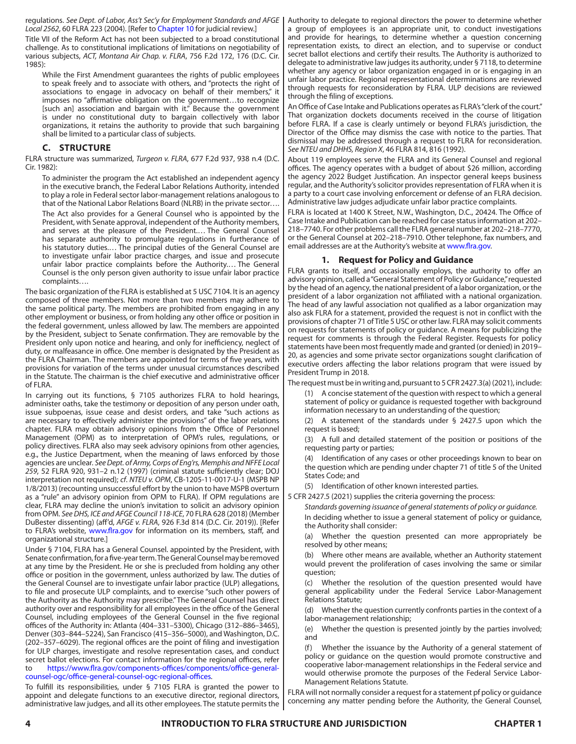regulations. *See Dept. of Labor, Ass't Sec'y for Employment Standards and AFGE Local 2562*, 60 FLRA 223 (2004). [Refer to Chapter 10 for judicial review.]

Title VII of the Reform Act has not been subjected to a broad constitutional challenge. As to constitutional implications of limitations on negotiability of various subjects, *ACT, Montana Air Chap. v. FLRA*, 756 F.2d 172, 176 (D.C. Cir. 1985):

While the First Amendment guarantees the rights of public employees to speak freely and to associate with others, and "protects the right of associations to engage in advocacy on behalf of their members," it imposes no "affirmative obligation on the government…to recognize [such an] association and bargain with it." Because the government is under no constitutional duty to bargain collectively with labor organizations, it retains the authority to provide that such bargaining shall be limited to a particular class of subjects.

# **C. STRUCTURE**

FLRA structure was summarized, *Turgeon v. FLRA*, 677 F.2d 937, 938 n.4 (D.C. Cir. 1982):

To administer the program the Act established an independent agency in the executive branch, the Federal Labor Relations Authority, intended to play a role in Federal sector labor-management relations analogous to that of the National Labor Relations Board (NLRB) in the private sector….

The Act also provides for a General Counsel who is appointed by the President, with Senate approval, independent of the Authority members, and serves at the pleasure of the President.… The General Counsel has separate authority to promulgate regulations in furtherance of his statutory duties.… The principal duties of the General Counsel are to investigate unfair labor practice charges, and issue and prosecute unfair labor practice complaints before the Authority.… The General Counsel is the only person given authority to issue unfair labor practice complaints….

The basic organization of the FLRA is established at 5 USC 7104. It is an agency composed of three members. Not more than two members may adhere to the same political party. The members are prohibited from engaging in any other employment or business, or from holding any other office or position in the federal government, unless allowed by law. The members are appointed by the President, subject to Senate confirmation. They are removable by the President only upon notice and hearing, and only for inefficiency, neglect of duty, or malfeasance in office. One member is designated by the President as the FLRA Chairman. The members are appointed for terms of five years, with provisions for variation of the terms under unusual circumstances described in the Statute. The chairman is the chief executive and administrative officer of FLRA.

In carrying out its functions, § 7105 authorizes FLRA to hold hearings, administer oaths, take the testimony or deposition of any person under oath, issue subpoenas, issue cease and desist orders, and take "such actions as are necessary to effectively administer the provisions" of the labor relations chapter. FLRA may obtain advisory opinions from the Office of Personnel Management (OPM) as to interpretation of OPM's rules, regulations, or policy directives. FLRA also may seek advisory opinions from other agencies, e.g., the Justice Department, when the meaning of laws enforced by those agencies are unclear. *See Dept. of Army, Corps of Eng'rs, Memphis and NFFE Local 259*, 52 FLRA 920, 931–2 n.12 (1997) (criminal statute sufficiently clear; DOJ interpretation not required); *cf*. *NTEU v. OPM*, CB-1205-11-0017-U-1 (MSPB NP 1/8/2013) (recounting unsuccessful effort by the union to have MSPB overturn as a "rule" an advisory opinion from OPM to FLRA). If OPM regulations are clear, FLRA may decline the union's invitation to solicit an advisory opinion from OPM. *See DHS, ICE and AFGE Council 118-ICE*, 70 FLRA 628 (2018) (Member DuBester dissenting) (aff'd, *AFGE v. FLRA*, 926 F.3d 814 (D.C. Cir. 2019)). [Refer to FLRA's website, [www.flra.gov](http://www.flra.gov) for information on its members, staff, and organizational structure.]

Under § 7104, FLRA has a General Counsel. appointed by the President, with Senate confirmation, for a five-year term. The General Counsel may be removed at any time by the President. He or she is precluded from holding any other office or position in the government, unless authorized by law. The duties of the General Counsel are to investigate unfair labor practice (ULP) allegations, to file and prosecute ULP complaints, and to exercise "such other powers of the Authority as the Authority may prescribe." The General Counsel has direct authority over and responsibility for all employees in the office of the General Counsel, including employees of the General Counsel in the five regional offices of the Authority in: Atlanta (404–331–5300), Chicago (312–886–3465), Denver (303–844–5224), San Francisco (415–356–5000), and Washington, D.C. (202–357–6029). The regional offices are the point of filing and investigation for ULP charges, investigate and resolve representation cases, and conduct secret ballot elections. For contact information for the regional offices, refer to [https://www.flra.gov/components-offices/components/office-general](https://www.flra.gov/components-offices/components/office-general-counsel-ogc/office-general-counsel-ogc-regional-offices)[counsel-ogc/office-general-counsel-ogc-regional-offices](https://www.flra.gov/components-offices/components/office-general-counsel-ogc/office-general-counsel-ogc-regional-offices).

To fulfill its responsibilities, under § 7105 FLRA is granted the power to appoint and delegate functions to an executive director, regional directors, administrative law judges, and all its other employees. The statute permits the

Authority to delegate to regional directors the power to determine whether a group of employees is an appropriate unit, to conduct investigations and provide for hearings, to determine whether a question concerning representation exists, to direct an election, and to supervise or conduct secret ballot elections and certify their results. The Authority is authorized to delegate to administrative law judges its authority, under § 7118, to determine whether any agency or labor organization engaged in or is engaging in an unfair labor practice. Regional representational determinations are reviewed through requests for reconsideration by FLRA. ULP decisions are reviewed through the filing of exceptions.

An Office of Case Intake and Publications operates as FLRA's "clerk of the court." That organization dockets documents received in the course of litigation before FLRA. If a case is clearly untimely or beyond FLRA's jurisdiction, the Director of the Office may dismiss the case with notice to the parties. That dismissal may be addressed through a request to FLRA for reconsideration. *See NTEU and DHHS, Region X*, 46 FLRA 814, 816 (1992).

About 119 employees serve the FLRA and its General Counsel and regional offices. The agency operates with a budget of about \$26 million, according the agency 2022 Budget Justification. An inspector general keeps business regular, and the Authority's solicitor provides representation of FLRA when it is a party to a court case involving enforcement or defense of an FLRA decision. Administrative law judges adjudicate unfair labor practice complaints.

FLRA is located at 1400 K Street, N.W., Washington, D.C., 20424. The Office of Case Intake and Publication can be reached for case status information at 202– 218–7740. For other problems call the FLRA general number at 202–218–7770, or the General Counsel at 202–218–7910. Other telephone, fax numbers, and email addresses are at the Authority's website at [www.flra.gov](https://www.flra.gov).

#### **1. Request for Policy and Guidance**

FLRA grants to itself, and occasionally employs, the authority to offer an advisory opinion, called a "General Statement of Policy or Guidance," requested by the head of an agency, the national president of a labor organization, or the president of a labor organization not affiliated with a national organization. The head of any lawful association not qualified as a labor organization may also ask FLRA for a statement, provided the request is not in conflict with the provisions of chapter 71 of Title 5 USC or other law. FLRA may solicit comments on requests for statements of policy or guidance. A means for publicizing the request for comments is through the Federal Register. Requests for policy statements have been most frequently made and granted (or denied) in 2019– 20, as agencies and some private sector organizations sought clarification of executive orders affecting the labor relations program that were issued by President Trump in 2018.

The request must be in writing and, pursuant to 5 CFR 2427.3(a) (2021), include:

(1) A concise statement of the question with respect to which a general statement of policy or guidance is requested together with background information necessary to an understanding of the question;

(2) A statement of the standards under § 2427.5 upon which the request is based;

(3) A full and detailed statement of the position or positions of the requesting party or parties;

(4) Identification of any cases or other proceedings known to bear on the question which are pending under chapter 71 of title 5 of the United States Code; and

(5) Identification of other known interested parties.

5 CFR 2427.5 (2021) supplies the criteria governing the process:

*Standards governing issuance of general statements of policy or guidance.* In deciding whether to issue a general statement of policy or guidance, the Authority shall consider:

(a) Whether the question presented can more appropriately be resolved by other means;

(b) Where other means are available, whether an Authority statement would prevent the proliferation of cases involving the same or similar question;

(c) Whether the resolution of the question presented would have general applicability under the Federal Service Labor-Management Relations Statute;

(d) Whether the question currently confronts parties in the context of a labor-management relationship;

(e) Whether the question is presented jointly by the parties involved; and

(f) Whether the issuance by the Authority of a general statement of policy or guidance on the question would promote constructive and cooperative labor-management relationships in the Federal service and would otherwise promote the purposes of the Federal Service Labor-Management Relations Statute.

FLRA will not normally consider a request for a statement pf policy or guidance concerning any matter pending before the Authority, the General Counsel,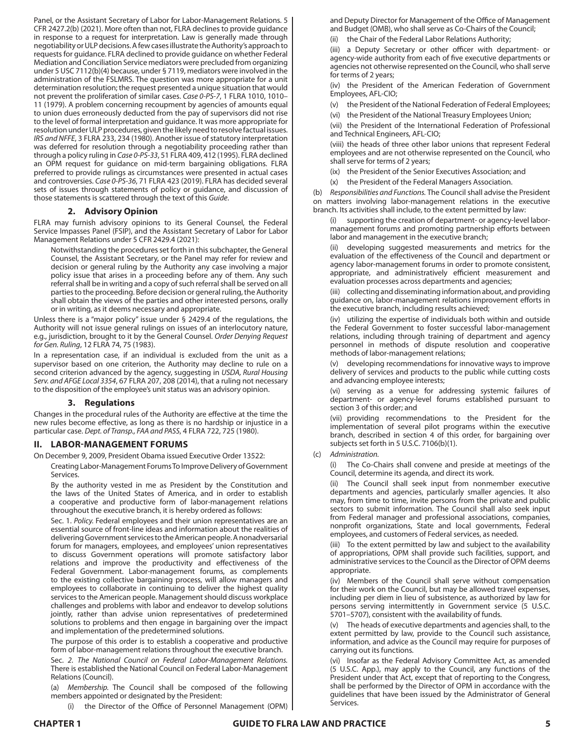Panel, or the Assistant Secretary of Labor for Labor-Management Relations. 5 CFR 2427.2(b) (2021). More often than not, FLRA declines to provide guidance in response to a request for interpretation. Law is generally made through negotiability or ULP decisions. A few cases illustrate the Authority's approach to requests for guidance. FLRA declined to provide guidance on whether Federal Mediation and Conciliation Service mediators were precluded from organizing under 5 USC 7112(b)(4) because, under § 7119, mediators were involved in the administration of the FSLMRS. The question was more appropriate for a unit determination resolution; the request presented a unique situation that would not prevent the proliferation of similar cases. *Case 0-PS-7*, 1 FLRA 1010, 1010– 11 (1979). A problem concerning recoupment by agencies of amounts equal to union dues erroneously deducted from the pay of supervisors did not rise to the level of formal interpretation and guidance. It was more appropriate for resolution under ULP procedures, given the likely need to resolve factual issues. *IRS and NFFE*, 3 FLRA 233, 234 (1980). Another issue of statutory interpretation was deferred for resolution through a negotiability proceeding rather than through a policy ruling in *Case 0-PS-33*, 51 FLRA 409, 412 (1995). FLRA declined an OPM request for guidance on mid-term bargaining obligations. FLRA preferred to provide rulings as circumstances were presented in actual cases and controversies. *Case 0-PS-36*, 71 FLRA 423 (2019). FLRA has decided several sets of issues through statements of policy or guidance, and discussion of those statements is scattered through the text of this *Guide*.

# **2. Advisory Opinion**

FLRA may furnish advisory opinions to its General Counsel, the Federal Service Impasses Panel (FSIP), and the Assistant Secretary of Labor for Labor Management Relations under 5 CFR 2429.4 (2021):

Notwithstanding the procedures set forth in this subchapter, the General Counsel, the Assistant Secretary, or the Panel may refer for review and decision or general ruling by the Authority any case involving a major policy issue that arises in a proceeding before any of them. Any such referral shall be in writing and a copy of such referral shall be served on all parties to the proceeding. Before decision or general ruling, the Authority shall obtain the views of the parties and other interested persons, orally or in writing, as it deems necessary and appropriate.

Unless there is a "major policy" issue under § 2429.4 of the regulations, the Authority will not issue general rulings on issues of an interlocutory nature, e.g., jurisdiction, brought to it by the General Counsel. *Order Denying Request for Gen. Ruling*, 12 FLRA 74, 75 (1983).

In a representation case, if an individual is excluded from the unit as a supervisor based on one criterion, the Authority may decline to rule on a second criterion advanced by the agency, suggesting in *USDA, Rural Housing Serv. and AFGE Local 3354*, 67 FLRA 207, 208 (2014), that a ruling not necessary to the disposition of the employee's unit status was an advisory opinion.

#### **3. Regulations**

Changes in the procedural rules of the Authority are effective at the time the new rules become effective, as long as there is no hardship or injustice in a particular case. *Dept. of Transp., FAA and PASS*, 4 FLRA 722, 725 (1980).

#### **II. LABOR-MANAGEMENT FORUMS**

On December 9, 2009, President Obama issued Executive Order 13522:

Creating Labor-Management Forums To Improve Delivery of Government Services.

By the authority vested in me as President by the Constitution and the laws of the United States of America, and in order to establish a cooperative and productive form of labor-management relations throughout the executive branch, it is hereby ordered as follows:

Sec. 1. *Policy.* Federal employees and their union representatives are an essential source of front-line ideas and information about the realities of delivering Government services to the American people. A nonadversarial forum for managers, employees, and employees' union representatives to discuss Government operations will promote satisfactory labor relations and improve the productivity and effectiveness of the Federal Government. Labor-management forums, as complements to the existing collective bargaining process, will allow managers and employees to collaborate in continuing to deliver the highest quality services to the American people. Management should discuss workplace challenges and problems with labor and endeavor to develop solutions jointly, rather than advise union representatives of predetermined solutions to problems and then engage in bargaining over the impact and implementation of the predetermined solutions.

The purpose of this order is to establish a cooperative and productive form of labor-management relations throughout the executive branch.

Sec. *2. The National Council on Federal Labor-Management Relations.*  There is established the National Council on Federal Labor-Management Relations (Council).

(a) *Membership.* The Council shall be composed of the following members appointed or designated by the President:

(i) the Director of the Office of Personnel Management (OPM)

and Deputy Director for Management of the Office of Management and Budget (OMB), who shall serve as Co-Chairs of the Council;

(ii) the Chair of the Federal Labor Relations Authority;

(iii) a Deputy Secretary or other officer with department- or agency-wide authority from each of five executive departments or agencies not otherwise represented on the Council, who shall serve for terms of 2 years;

(iv) the President of the American Federation of Government Employees, AFL-CIO;

(v) the President of the National Federation of Federal Employees;

(vi) the President of the National Treasury Employees Union;

(vii) the President of the International Federation of Professional and Technical Engineers, AFL-CIO;

(viii) the heads of three other labor unions that represent Federal employees and are not otherwise represented on the Council, who shall serve for terms of 2 years;

(ix) the President of the Senior Executives Association; and

(x) the President of the Federal Managers Association.

(b) *Responsibilities and Functions.* The Council shall advise the President on matters involving labor-management relations in the executive branch. Its activities shall include, to the extent permitted by law:

supporting the creation of department- or agency-level labormanagement forums and promoting partnership efforts between labor and management in the executive branch;

developing suggested measurements and metrics for the evaluation of the effectiveness of the Council and department or agency labor-management forums in order to promote consistent, appropriate, and administratively efficient measurement and evaluation processes across departments and agencies;

(iii) collecting and disseminating information about, and providing guidance on, labor-management relations improvement efforts in the executive branch, including results achieved;

(iv) utilizing the expertise of individuals both within and outside the Federal Government to foster successful labor-management relations, including through training of department and agency personnel in methods of dispute resolution and cooperative methods of labor-management relations;

(v) developing recommendations for innovative ways to improve delivery of services and products to the public while cutting costs and advancing employee interests;

(vi) serving as a venue for addressing systemic failures of department- or agency-level forums established pursuant to section 3 of this order; and

(vii) providing recommendations to the President for the implementation of several pilot programs within the executive branch, described in section 4 of this order, for bargaining over subjects set forth in 5 U.S.C. 7106(b)(1).

(c) *Administration.* 

The Co-Chairs shall convene and preside at meetings of the Council, determine its agenda, and direct its work.

(ii) The Council shall seek input from nonmember executive departments and agencies, particularly smaller agencies. It also may, from time to time, invite persons from the private and public sectors to submit information. The Council shall also seek input from Federal manager and professional associations, companies, nonprofit organizations, State and local governments, Federal employees, and customers of Federal services, as needed.

(iii) To the extent permitted by law and subject to the availability of appropriations, OPM shall provide such facilities, support, and administrative services to the Council as the Director of OPM deems appropriate.

(iv) Members of the Council shall serve without compensation for their work on the Council, but may be allowed travel expenses, including per diem in lieu of subsistence, as authorized by law for persons serving intermittently in Government service (5 U.S.C. 5701–5707), consistent with the availability of funds.

(v) The heads of executive departments and agencies shall, to the extent permitted by law, provide to the Council such assistance, information, and advice as the Council may require for purposes of carrying out its functions.

(vi) Insofar as the Federal Advisory Committee Act, as amended (5 U.S.C. App.), may apply to the Council, any functions of the President under that Act, except that of reporting to the Congress, shall be performed by the Director of OPM in accordance with the guidelines that have been issued by the Administrator of General Services.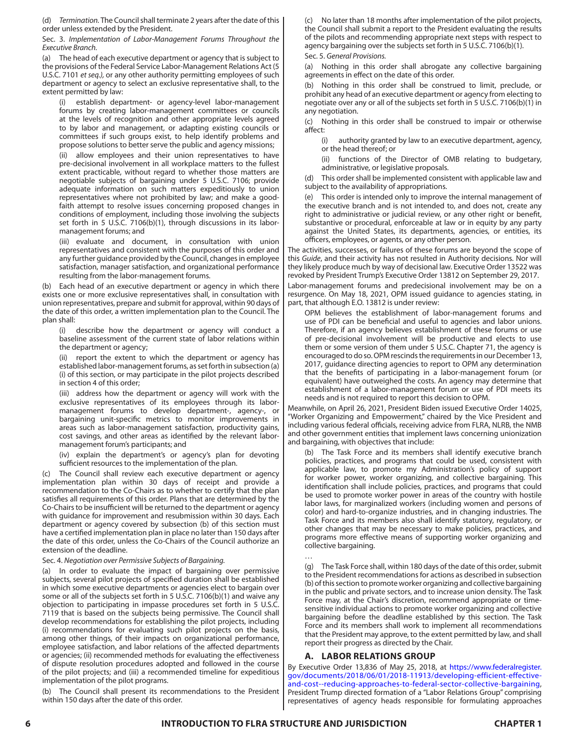(d) *Termination.* The Council shall terminate 2 years after the date of this order unless extended by the President.

Sec. 3. *Implementation of Labor-Management Forums Throughout the Executive Branch.* 

(a) The head of each executive department or agency that is subject to the provisions of the Federal Service Labor-Management Relations Act (5 U.S.C. 7101 *et seq.),* or any other authority permitting employees of such department or agency to select an exclusive representative shall, to the extent permitted by law:

(i) establish department- or agency-level labor-management forums by creating labor-management committees or councils at the levels of recognition and other appropriate levels agreed to by labor and management, or adapting existing councils or committees if such groups exist, to help identify problems and propose solutions to better serve the public and agency missions;

(ii) allow employees and their union representatives to have pre-decisional involvement in all workplace matters to the fullest extent practicable, without regard to whether those matters are negotiable subjects of bargaining under 5 U.S.C. 7106; provide adequate information on such matters expeditiously to union representatives where not prohibited by law; and make a goodfaith attempt to resolve issues concerning proposed changes in conditions of employment, including those involving the subjects set forth in 5 U.S.C. 7106(b)(1), through discussions in its labormanagement forums; and

(iii) evaluate and document, in consultation with union representatives and consistent with the purposes of this order and any further guidance provided by the Council, changes in employee satisfaction, manager satisfaction, and organizational performance resulting from the labor-management forums.

(b) Each head of an executive department or agency in which there exists one or more exclusive representatives shall, in consultation with union representatives, prepare and submit for approval, within 90 days of the date of this order, a written implementation plan to the Council. The plan shall:

describe how the department or agency will conduct a baseline assessment of the current state of labor relations within the department or agency;

(ii) report the extent to which the department or agency has established labor-management forums, as set forth in subsection (a) (i) of this section, or may participate in the pilot projects described in section 4 of this order;

(iii) address how the department or agency will work with the exclusive representatives of its employees through its labormanagement forums to develop department-, agency-, or bargaining unit-specific metrics to monitor improvements in areas such as labor-management satisfaction, productivity gains, cost savings, and other areas as identified by the relevant labormanagement forum's participants; and

(iv) explain the department's or agency's plan for devoting sufficient resources to the implementation of the plan.

(c) The Council shall review each executive department or agency implementation plan within 30 days of receipt and provide a recommendation to the Co-Chairs as to whether to certify that the plan satisfies all requirements of this order. Plans that are determined by the Co-Chairs to be insufficient will be returned to the department or agency with guidance for improvement and resubmission within 30 days. Each department or agency covered by subsection (b) of this section must have a certified implementation plan in place no later than 150 days after the date of this order, unless the Co-Chairs of the Council authorize an extension of the deadline.

#### Sec. 4. *Negotiation over Permissive Subjects of Bargaining.*

(a) In order to evaluate the impact of bargaining over permissive subjects, several pilot projects of specified duration shall be established in which some executive departments or agencies elect to bargain over some or all of the subjects set forth in 5 U.S.C. 7106(b)(1) and waive any objection to participating in impasse procedures set forth in 5 U.S.C. 7119 that is based on the subjects being permissive. The Council shall develop recommendations for establishing the pilot projects, including (i) recommendations for evaluating such pilot projects on the basis, among other things, of their impacts on organizational performance, employee satisfaction, and labor relations of the affected departments or agencies; (ii) recommended methods for evaluating the effectiveness of dispute resolution procedures adopted and followed in the course of the pilot projects; and (iii) a recommended timeline for expeditious implementation of the pilot programs.

The Council shall present its recommendations to the President within 150 days after the date of this order.

(c) No later than 18 months after implementation of the pilot projects, the Council shall submit a report to the President evaluating the results of the pilots and recommending appropriate next steps with respect to agency bargaining over the subjects set forth in 5 U.S.C. 7106(b)(1).

Sec. 5. *General Provisions.* 

(a) Nothing in this order shall abrogate any collective bargaining agreements in effect on the date of this order.

(b) Nothing in this order shall be construed to limit, preclude, or prohibit any head of an executive department or agency from electing to negotiate over any or all of the subjects set forth in 5 U.S.C. 7106(b)(1) in any negotiation.

(c) Nothing in this order shall be construed to impair or otherwise affect:

(i) authority granted by law to an executive department, agency, or the head thereof; or

(ii) functions of the Director of OMB relating to budgetary, administrative, or legislative proposals.

This order shall be implemented consistent with applicable law and subject to the availability of appropriations.

(e) This order is intended only to improve the internal management of the executive branch and is not intended to, and does not, create any right to administrative or judicial review, or any other right or benefit, substantive or procedural, enforceable at law or in equity by any party against the United States, its departments, agencies, or entities, its officers, employees, or agents, or any other person.

The activities, successes, or failures of these forums are beyond the scope of this *Guide*, and their activity has not resulted in Authority decisions. Nor will they likely produce much by way of decisional law. Executive Order 13522 was revoked by President Trump's Executive Order 13812 on September 29, 2017.

Labor-management forums and predecisional involvement may be on a resurgence. On May 18, 2021, OPM issued guidance to agencies stating, in part, that although E.O. 13812 is under review:

OPM believes the establishment of labor-management forums and use of PDI can be beneficial and useful to agencies and labor unions. Therefore, if an agency believes establishment of these forums or use of pre-decisional involvement will be productive and elects to use them or some version of them under 5 U.S.C. Chapter 71, the agency is encouraged to do so. OPM rescinds the requirements in our December 13, 2017, guidance directing agencies to report to OPM any determination that the benefits of participating in a labor-management forum (or equivalent) have outweighed the costs. An agency may determine that establishment of a labor-management forum or use of PDI meets its needs and is not required to report this decision to OPM.

Meanwhile, on April 26, 2021, President Biden issued Executive Order 14025, "Worker Organizing and Empowerment," chaired by the Vice President and including various federal officials, receiving advice from FLRA, NLRB, the NMB and other government entities that implement laws concerning unionization and bargaining, with objectives that include:

(b) The Task Force and its members shall identify executive branch policies, practices, and programs that could be used, consistent with applicable law, to promote my Administration's policy of support for worker power, worker organizing, and collective bargaining. This identification shall include policies, practices, and programs that could be used to promote worker power in areas of the country with hostile labor laws, for marginalized workers (including women and persons of color) and hard-to-organize industries, and in changing industries. The Task Force and its members also shall identify statutory, regulatory, or other changes that may be necessary to make policies, practices, and programs more effective means of supporting worker organizing and collective bargaining.

(g) The Task Force shall, within 180 days of the date of this order, submit to the President recommendations for actions as described in subsection (b) of this section to promote worker organizing and collective bargaining in the public and private sectors, and to increase union density. The Task Force may, at the Chair's discretion, recommend appropriate or timesensitive individual actions to promote worker organizing and collective bargaining before the deadline established by this section. The Task Force and its members shall work to implement all recommendations that the President may approve, to the extent permitted by law, and shall report their progress as directed by the Chair.

# **A. LABOR RELATIONS GROUP**

By Executive Order 13,836 of May 25, 2018, at [https://www.federalregister.](https://www.federalregister.gov/documents/2018/06/01/2018-11913/developing-efficient-effective-and-cost--reducing-approaches-to-federal-sector-collective-bargaining) [gov/documents/2018/06/01/2018-11913/developing-efficient-effective](https://www.federalregister.gov/documents/2018/06/01/2018-11913/developing-efficient-effective-and-cost--reducing-approaches-to-federal-sector-collective-bargaining)[and-cost--reducing-approaches-to-federal-sector-collective-bargaining](https://www.federalregister.gov/documents/2018/06/01/2018-11913/developing-efficient-effective-and-cost--reducing-approaches-to-federal-sector-collective-bargaining), President Trump directed formation of a "Labor Relations Group" comprising representatives of agency heads responsible for formulating approaches

…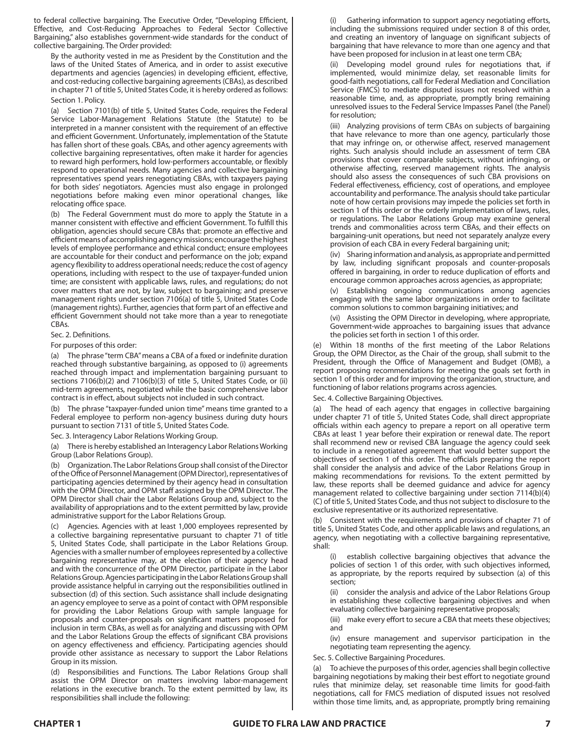to federal collective bargaining. The Executive Order, "Developing Efficient, Effective, and Cost-Reducing Approaches to Federal Sector Collective Bargaining," also establishes government-wide standards for the conduct of collective bargaining. The Order provided:

By the authority vested in me as President by the Constitution and the laws of the United States of America, and in order to assist executive departments and agencies (agencies) in developing efficient, effective, and cost-reducing collective bargaining agreements (CBAs), as described in chapter 71 of title 5, United States Code, it is hereby ordered as follows: Section 1. Policy.

(a) Section 7101(b) of title 5, United States Code, requires the Federal Service Labor-Management Relations Statute (the Statute) to be interpreted in a manner consistent with the requirement of an effective and efficient Government. Unfortunately, implementation of the Statute has fallen short of these goals. CBAs, and other agency agreements with collective bargaining representatives, often make it harder for agencies to reward high performers, hold low-performers accountable, or flexibly respond to operational needs. Many agencies and collective bargaining representatives spend years renegotiating CBAs, with taxpayers paying for both sides' negotiators. Agencies must also engage in prolonged negotiations before making even minor operational changes, like relocating office space.

(b) The Federal Government must do more to apply the Statute in a manner consistent with effective and efficient Government. To fulfill this obligation, agencies should secure CBAs that: promote an effective and efficient means of accomplishing agency missions; encourage the highest levels of employee performance and ethical conduct; ensure employees are accountable for their conduct and performance on the job; expand agency flexibility to address operational needs; reduce the cost of agency operations, including with respect to the use of taxpayer-funded union time; are consistent with applicable laws, rules, and regulations; do not cover matters that are not, by law, subject to bargaining; and preserve management rights under section 7106(a) of title 5, United States Code (management rights). Further, agencies that form part of an effective and efficient Government should not take more than a year to renegotiate CBAs.

#### Sec. 2. Definitions.

For purposes of this order:

(a) The phrase "term CBA" means a CBA of a fixed or indefinite duration reached through substantive bargaining, as opposed to (i) agreements reached through impact and implementation bargaining pursuant to sections 7106(b)(2) and 7106(b)(3) of title 5, United States Code, or (ii) mid-term agreements, negotiated while the basic comprehensive labor contract is in effect, about subjects not included in such contract.

(b) The phrase "taxpayer-funded union time" means time granted to a Federal employee to perform non-agency business during duty hours pursuant to section 7131 of title 5, United States Code.

Sec. 3. Interagency Labor Relations Working Group.

(a) There is hereby established an Interagency Labor Relations Working Group (Labor Relations Group).

(b) Organization. The Labor Relations Group shall consist of the Director of the Office of Personnel Management (OPM Director), representatives of participating agencies determined by their agency head in consultation with the OPM Director, and OPM staff assigned by the OPM Director. The OPM Director shall chair the Labor Relations Group and, subject to the availability of appropriations and to the extent permitted by law, provide administrative support for the Labor Relations Group.

(c) Agencies. Agencies with at least 1,000 employees represented by a collective bargaining representative pursuant to chapter 71 of title 5, United States Code, shall participate in the Labor Relations Group. Agencies with a smaller number of employees represented by a collective bargaining representative may, at the election of their agency head and with the concurrence of the OPM Director, participate in the Labor Relations Group. Agencies participating in the Labor Relations Group shall provide assistance helpful in carrying out the responsibilities outlined in subsection (d) of this section. Such assistance shall include designating an agency employee to serve as a point of contact with OPM responsible for providing the Labor Relations Group with sample language for proposals and counter-proposals on significant matters proposed for inclusion in term CBAs, as well as for analyzing and discussing with OPM and the Labor Relations Group the effects of significant CBA provisions on agency effectiveness and efficiency. Participating agencies should provide other assistance as necessary to support the Labor Relations Group in its mission.

(d) Responsibilities and Functions. The Labor Relations Group shall assist the OPM Director on matters involving labor-management relations in the executive branch. To the extent permitted by law, its responsibilities shall include the following:

Gathering information to support agency negotiating efforts, including the submissions required under section 8 of this order, and creating an inventory of language on significant subjects of bargaining that have relevance to more than one agency and that have been proposed for inclusion in at least one term CBA;

Developing model ground rules for negotiations that, if implemented, would minimize delay, set reasonable limits for good-faith negotiations, call for Federal Mediation and Conciliation Service (FMCS) to mediate disputed issues not resolved within a reasonable time, and, as appropriate, promptly bring remaining unresolved issues to the Federal Service Impasses Panel (the Panel) for resolution;

(iii) Analyzing provisions of term CBAs on subjects of bargaining that have relevance to more than one agency, particularly those that may infringe on, or otherwise affect, reserved management rights. Such analysis should include an assessment of term CBA provisions that cover comparable subjects, without infringing, or otherwise affecting, reserved management rights. The analysis should also assess the consequences of such CBA provisions on Federal effectiveness, efficiency, cost of operations, and employee accountability and performance. The analysis should take particular note of how certain provisions may impede the policies set forth in section 1 of this order or the orderly implementation of laws, rules, or regulations. The Labor Relations Group may examine general trends and commonalities across term CBAs, and their effects on bargaining-unit operations, but need not separately analyze every provision of each CBA in every Federal bargaining unit;

(iv) Sharing information and analysis, as appropriate and permitted by law, including significant proposals and counter-proposals offered in bargaining, in order to reduce duplication of efforts and encourage common approaches across agencies, as appropriate;

(v) Establishing ongoing communications among agencies engaging with the same labor organizations in order to facilitate common solutions to common bargaining initiatives; and

(vi) Assisting the OPM Director in developing, where appropriate, Government-wide approaches to bargaining issues that advance the policies set forth in section 1 of this order.

(e) Within 18 months of the first meeting of the Labor Relations Group, the OPM Director, as the Chair of the group, shall submit to the President, through the Office of Management and Budget (OMB), a report proposing recommendations for meeting the goals set forth in section 1 of this order and for improving the organization, structure, and functioning of labor relations programs across agencies.

Sec. 4. Collective Bargaining Objectives.

(a) The head of each agency that engages in collective bargaining under chapter 71 of title 5, United States Code, shall direct appropriate officials within each agency to prepare a report on all operative term CBAs at least 1 year before their expiration or renewal date. The report shall recommend new or revised CBA language the agency could seek to include in a renegotiated agreement that would better support the objectives of section 1 of this order. The officials preparing the report shall consider the analysis and advice of the Labor Relations Group in making recommendations for revisions. To the extent permitted by law, these reports shall be deemed guidance and advice for agency management related to collective bargaining under section 7114(b)(4) (C) of title 5, United States Code, and thus not subject to disclosure to the exclusive representative or its authorized representative.

Consistent with the requirements and provisions of chapter 71 of title 5, United States Code, and other applicable laws and regulations, an agency, when negotiating with a collective bargaining representative, shall:

establish collective bargaining objectives that advance the policies of section 1 of this order, with such objectives informed, as appropriate, by the reports required by subsection (a) of this section;

(ii) consider the analysis and advice of the Labor Relations Group in establishing these collective bargaining objectives and when evaluating collective bargaining representative proposals;

(iii) make every effort to secure a CBA that meets these objectives; and

(iv) ensure management and supervisor participation in the negotiating team representing the agency.

Sec. 5. Collective Bargaining Procedures.

(a) To achieve the purposes of this order, agencies shall begin collective bargaining negotiations by making their best effort to negotiate ground rules that minimize delay, set reasonable time limits for good-faith negotiations, call for FMCS mediation of disputed issues not resolved within those time limits, and, as appropriate, promptly bring remaining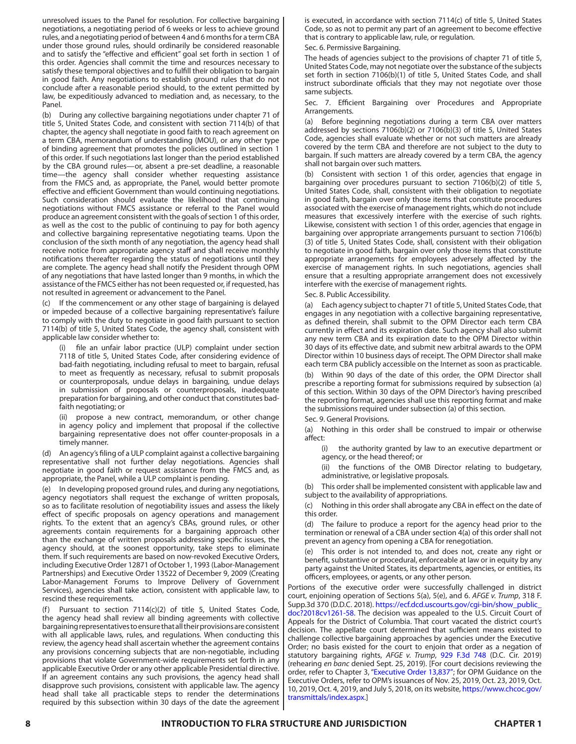unresolved issues to the Panel for resolution. For collective bargaining negotiations, a negotiating period of 6 weeks or less to achieve ground rules, and a negotiating period of between 4 and 6 months for a term CBA under those ground rules, should ordinarily be considered reasonable and to satisfy the "effective and efficient" goal set forth in section 1 of this order. Agencies shall commit the time and resources necessary to satisfy these temporal objectives and to fulfill their obligation to bargain in good faith. Any negotiations to establish ground rules that do not conclude after a reasonable period should, to the extent permitted by law, be expeditiously advanced to mediation and, as necessary, to the Panel.

(b) During any collective bargaining negotiations under chapter 71 of title 5, United States Code, and consistent with section 7114(b) of that chapter, the agency shall negotiate in good faith to reach agreement on a term CBA, memorandum of understanding (MOU), or any other type of binding agreement that promotes the policies outlined in section 1 of this order. If such negotiations last longer than the period established by the CBA ground rules—or, absent a pre-set deadline, a reasonable time—the agency shall consider whether requesting assistance from the FMCS and, as appropriate, the Panel, would better promote effective and efficient Government than would continuing negotiations. Such consideration should evaluate the likelihood that continuing negotiations without FMCS assistance or referral to the Panel would produce an agreement consistent with the goals of section 1 of this order, as well as the cost to the public of continuing to pay for both agency and collective bargaining representative negotiating teams. Upon the conclusion of the sixth month of any negotiation, the agency head shall receive notice from appropriate agency staff and shall receive monthly notifications thereafter regarding the status of negotiations until they are complete. The agency head shall notify the President through OPM of any negotiations that have lasted longer than 9 months, in which the assistance of the FMCS either has not been requested or, if requested, has not resulted in agreement or advancement to the Panel.

(c) If the commencement or any other stage of bargaining is delayed or impeded because of a collective bargaining representative's failure to comply with the duty to negotiate in good faith pursuant to section 7114(b) of title 5, United States Code, the agency shall, consistent with applicable law consider whether to:

file an unfair labor practice (ULP) complaint under section 7118 of title 5, United States Code, after considering evidence of bad-faith negotiating, including refusal to meet to bargain, refusal to meet as frequently as necessary, refusal to submit proposals or counterproposals, undue delays in bargaining, undue delays in submission of proposals or counterproposals, inadequate preparation for bargaining, and other conduct that constitutes badfaith negotiating; or

(ii) propose a new contract, memorandum, or other change in agency policy and implement that proposal if the collective bargaining representative does not offer counter-proposals in a timely manner.

(d) An agency's filing of a ULP complaint against a collective bargaining representative shall not further delay negotiations. Agencies shall negotiate in good faith or request assistance from the FMCS and, as appropriate, the Panel, while a ULP complaint is pending.

(e) In developing proposed ground rules, and during any negotiations, agency negotiators shall request the exchange of written proposals, so as to facilitate resolution of negotiability issues and assess the likely effect of specific proposals on agency operations and management rights. To the extent that an agency's CBAs, ground rules, or other agreements contain requirements for a bargaining approach other than the exchange of written proposals addressing specific issues, the agency should, at the soonest opportunity, take steps to eliminate them. If such requirements are based on now-revoked Executive Orders, including Executive Order 12871 of October 1, 1993 (Labor-Management Partnerships) and Executive Order 13522 of December 9, 2009 (Creating Labor-Management Forums to Improve Delivery of Government Services), agencies shall take action, consistent with applicable law, to rescind these requirements.

Pursuant to section 7114(c)(2) of title 5, United States Code, the agency head shall review all binding agreements with collective bargaining representatives to ensure that all their provisions are consistent with all applicable laws, rules, and regulations. When conducting this review, the agency head shall ascertain whether the agreement contains any provisions concerning subjects that are non-negotiable, including provisions that violate Government-wide requirements set forth in any applicable Executive Order or any other applicable Presidential directive. If an agreement contains any such provisions, the agency head shall disapprove such provisions, consistent with applicable law. The agency head shall take all practicable steps to render the determinations required by this subsection within 30 days of the date the agreement is executed, in accordance with section 7114(c) of title 5, United States Code, so as not to permit any part of an agreement to become effective that is contrary to applicable law, rule, or regulation.

Sec. 6. Permissive Bargaining.

The heads of agencies subject to the provisions of chapter 71 of title 5, United States Code, may not negotiate over the substance of the subjects set forth in section 7106(b)(1) of title 5, United States Code, and shall instruct subordinate officials that they may not negotiate over those same subjects.

Sec. 7. Efficient Bargaining over Procedures and Appropriate Arrangements.

(a) Before beginning negotiations during a term CBA over matters addressed by sections 7106(b)(2) or 7106(b)(3) of title 5, United States Code, agencies shall evaluate whether or not such matters are already covered by the term CBA and therefore are not subject to the duty to bargain. If such matters are already covered by a term CBA, the agency shall not bargain over such matters.

(b) Consistent with section 1 of this order, agencies that engage in bargaining over procedures pursuant to section 7106(b)(2) of title 5, United States Code, shall, consistent with their obligation to negotiate in good faith, bargain over only those items that constitute procedures associated with the exercise of management rights, which do not include measures that excessively interfere with the exercise of such rights. Likewise, consistent with section 1 of this order, agencies that engage in bargaining over appropriate arrangements pursuant to section 7106(b) (3) of title 5, United States Code, shall, consistent with their obligation to negotiate in good faith, bargain over only those items that constitute appropriate arrangements for employees adversely affected by the exercise of management rights. In such negotiations, agencies shall ensure that a resulting appropriate arrangement does not excessively interfere with the exercise of management rights.

Sec. 8. Public Accessibility.

(a) Each agency subject to chapter 71 of title 5, United States Code, that engages in any negotiation with a collective bargaining representative, as defined therein, shall submit to the OPM Director each term CBA currently in effect and its expiration date. Such agency shall also submit any new term CBA and its expiration date to the OPM Director within 30 days of its effective date, and submit new arbitral awards to the OPM Director within 10 business days of receipt. The OPM Director shall make each term CBA publicly accessible on the Internet as soon as practicable.

(b) Within 90 days of the date of this order, the OPM Director shall prescribe a reporting format for submissions required by subsection (a) of this section. Within 30 days of the OPM Director's having prescribed the reporting format, agencies shall use this reporting format and make the submissions required under subsection (a) of this section.

Sec. 9. General Provisions.

(a) Nothing in this order shall be construed to impair or otherwise affect:

(i) the authority granted by law to an executive department or agency, or the head thereof; or

(ii) the functions of the OMB Director relating to budgetary, administrative, or legislative proposals.

This order shall be implemented consistent with applicable law and subject to the availability of appropriations.

(c) Nothing in this order shall abrogate any CBA in effect on the date of this order.

(d) The failure to produce a report for the agency head prior to the termination or renewal of a CBA under section 4(a) of this order shall not prevent an agency from opening a CBA for renegotiation.

(e) This order is not intended to, and does not, create any right or benefit, substantive or procedural, enforceable at law or in equity by any party against the United States, its departments, agencies, or entities, its officers, employees, or agents, or any other person.

Portions of the executive order were successfully challenged in district court, enjoining operation of Sections 5(a), 5(e), and 6. *AFGE v. Trump*, 318 F. Supp.3d 370 (D.D.C. 2018). [https://ecf.dcd.uscourts.gov/cgi-bin/show\\_public\\_](https://ecf.dcd.uscourts.gov/cgi-bin/show_public_doc?2018cv1261-58) [doc?2018cv1261-58](https://ecf.dcd.uscourts.gov/cgi-bin/show_public_doc?2018cv1261-58). The decision was appealed to the U.S. Circuit Court of Appeals for the District of Columbia. That court vacated the district court's decision. The appellate court determined that sufficient means existed to challenge collective bargaining approaches by agencies under the Executive Order; no basis existed for the court to enjoin that order as a negation of statutory bargaining rights, *AFGE v. Trump*, [929 F.3d 748](https://www.leagle.com/decision/infco20190716129) (D.C. Cir. 2019) (rehearing *en banc* denied Sept. 25, 2019). [For court decisions reviewing the order, refer to Chapter 3, "Executive Order 13,837"; for OPM Guidance on the Executive Orders, refer to OPM's issuances of Nov. 25, 2019, Oct. 23, 2019, Oct. 10, 2019, Oct. 4, 2019, and July 5, 2018, on its website, [https://www.chcoc.gov/](https://www.chcoc.gov/transmittals/index.aspx) [transmittals/index.aspx](https://www.chcoc.gov/transmittals/index.aspx).]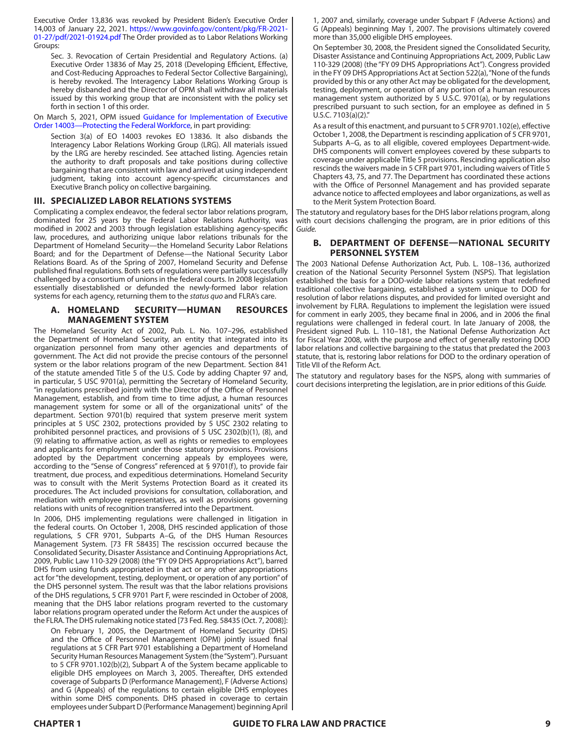Executive Order 13,836 was revoked by President Biden's Executive Order 14,003 of January 22, 2021. [https://www.govinfo.gov/content/pkg/FR-2021-](https://www.govinfo.gov/content/pkg/FR-2021-01-27/pdf/2021-01924.pdf) [01-27/pdf/2021-01924.pdf](https://www.govinfo.gov/content/pkg/FR-2021-01-27/pdf/2021-01924.pdf) The Order provided as to Labor Relations Working Groups:

Sec. 3. Revocation of Certain Presidential and Regulatory Actions. (a) Executive Order 13836 of May 25, 2018 (Developing Efficient, Effective, and Cost-Reducing Approaches to Federal Sector Collective Bargaining), is hereby revoked. The Interagency Labor Relations Working Group is hereby disbanded and the Director of OPM shall withdraw all materials issued by this working group that are inconsistent with the policy set forth in section 1 of this order.

On March 5, 2021, OPM issued [Guidance for Implementation of Executive](https://www.chcoc.gov/content/guidance-implementation-executive-order-14003-protecting-federal-workforce)  [Order 14003—Protecting the Federal Workforce,](https://www.chcoc.gov/content/guidance-implementation-executive-order-14003-protecting-federal-workforce) in part providing:

Section 3(a) of EO 14003 revokes EO 13836. It also disbands the Interagency Labor Relations Working Group (LRG). All materials issued by the LRG are hereby rescinded. See attached listing. Agencies retain the authority to draft proposals and take positions during collective bargaining that are consistent with law and arrived at using independent judgment, taking into account agency-specific circumstances and Executive Branch policy on collective bargaining.

## **III. SPECIALIZED LABOR RELATIONS SYSTEMS**

Complicating a complex endeavor, the federal sector labor relations program, dominated for 25 years by the Federal Labor Relations Authority, was modified in 2002 and 2003 through legislation establishing agency-specific law, procedures, and authorizing unique labor relations tribunals for the Department of Homeland Security—the Homeland Security Labor Relations Board; and for the Department of Defense—the National Security Labor Relations Board. As of the Spring of 2007, Homeland Security and Defense published final regulations. Both sets of regulations were partially successfully challenged by a consortium of unions in the federal courts. In 2008 legislation essentially disestablished or defunded the newly-formed labor relation systems for each agency, returning them to the *status quo* and FLRA's care.

# **A. HOMELAND SECURITY—HUMAN RESOURCES MANAGEMENT SYSTEM**

The Homeland Security Act of 2002, Pub. L. No. 107–296, established the Department of Homeland Security, an entity that integrated into its organization personnel from many other agencies and departments of government. The Act did not provide the precise contours of the personnel system or the labor relations program of the new Department. Section 841 of the statute amended Title 5 of the U.S. Code by adding Chapter 97 and, in particular, 5 USC 9701(a), permitting the Secretary of Homeland Security, "in regulations prescribed jointly with the Director of the Office of Personnel Management, establish, and from time to time adjust, a human resources management system for some or all of the organizational units" of the department. Section 9701(b) required that system preserve merit system principles at 5 USC 2302, protections provided by 5 USC 2302 relating to prohibited personnel practices, and provisions of 5 USC 2302(b)(1), (8), and (9) relating to affirmative action, as well as rights or remedies to employees and applicants for employment under those statutory provisions. Provisions adopted by the Department concerning appeals by employees were, according to the "Sense of Congress" referenced at § 9701(f), to provide fair treatment, due process, and expeditious determinations. Homeland Security was to consult with the Merit Systems Protection Board as it created its procedures. The Act included provisions for consultation, collaboration, and mediation with employee representatives, as well as provisions governing relations with units of recognition transferred into the Department.

In 2006, DHS implementing regulations were challenged in litigation in the federal courts. On October 1, 2008, DHS rescinded application of those regulations, 5 CFR 9701, Subparts A–G, of the DHS Human Resources Management System. [73 FR 58435] The rescission occurred because the Consolidated Security, Disaster Assistance and Continuing Appropriations Act, 2009, Public Law 110-329 (2008) (the "FY 09 DHS Appropriations Act"), barred DHS from using funds appropriated in that act or any other appropriations act for "the development, testing, deployment, or operation of any portion" of the DHS personnel system. The result was that the labor relations provisions of the DHS regulations, 5 CFR 9701 Part F, were rescinded in October of 2008, meaning that the DHS labor relations program reverted to the customary labor relations program operated under the Reform Act under the auspices of the FLRA. The DHS rulemaking notice stated [73 Fed. Reg. 58435 (Oct. 7, 2008)]:

On February 1, 2005, the Department of Homeland Security (DHS) and the Office of Personnel Management (OPM) jointly issued final regulations at 5 CFR Part 9701 establishing a Department of Homeland Security Human Resources Management System (the "System"). Pursuant to 5 CFR 9701.102(b)(2), Subpart A of the System became applicable to eligible DHS employees on March 3, 2005. Thereafter, DHS extended coverage of Subparts D (Performance Management), F (Adverse Actions) and G (Appeals) of the regulations to certain eligible DHS employees within some DHS components. DHS phased in coverage to certain employees under Subpart D (Performance Management) beginning April

1, 2007 and, similarly, coverage under Subpart F (Adverse Actions) and G (Appeals) beginning May 1, 2007. The provisions ultimately covered more than 35,000 eligible DHS employees.

On September 30, 2008, the President signed the Consolidated Security, Disaster Assistance and Continuing Appropriations Act, 2009, Public Law 110-329 (2008) (the "FY 09 DHS Appropriations Act"). Congress provided in the FY 09 DHS Appropriations Act at Section 522(a), "None of the funds provided by this or any other Act may be obligated for the development, testing, deployment, or operation of any portion of a human resources management system authorized by 5 U.S.C. 9701(a), or by regulations prescribed pursuant to such section, for an employee as defined in 5 U.S.C. 7103(a)(2)."

As a result of this enactment, and pursuant to 5 CFR 9701.102(e), effective October 1, 2008, the Department is rescinding application of 5 CFR 9701, Subparts A–G, as to all eligible, covered employees Department-wide. DHS components will convert employees covered by these subparts to coverage under applicable Title 5 provisions. Rescinding application also rescinds the waivers made in 5 CFR part 9701, including waivers of Title 5 Chapters 43, 75, and 77. The Department has coordinated these actions with the Office of Personnel Management and has provided separate advance notice to affected employees and labor organizations, as well as to the Merit System Protection Board.

The statutory and regulatory bases for the DHS labor relations program, along with court decisions challenging the program, are in prior editions of this *Guide.*

# **B. DEPARTMENT OF DEFENSE—NATIONAL SECURITY PERSONNEL SYSTEM**

The 2003 National Defense Authorization Act, Pub. L. 108–136, authorized creation of the National Security Personnel System (NSPS). That legislation established the basis for a DOD-wide labor relations system that redefined traditional collective bargaining, established a system unique to DOD for resolution of labor relations disputes, and provided for limited oversight and involvement by FLRA. Regulations to implement the legislation were issued for comment in early 2005, they became final in 2006, and in 2006 the final regulations were challenged in federal court. In late January of 2008, the President signed Pub. L. 110–181, the National Defense Authorization Act for Fiscal Year 2008, with the purpose and effect of generally restoring DOD labor relations and collective bargaining to the status that predated the 2003 statute, that is, restoring labor relations for DOD to the ordinary operation of Title VII of the Reform Act.

The statutory and regulatory bases for the NSPS, along with summaries of court decisions interpreting the legislation, are in prior editions of this *Guide.*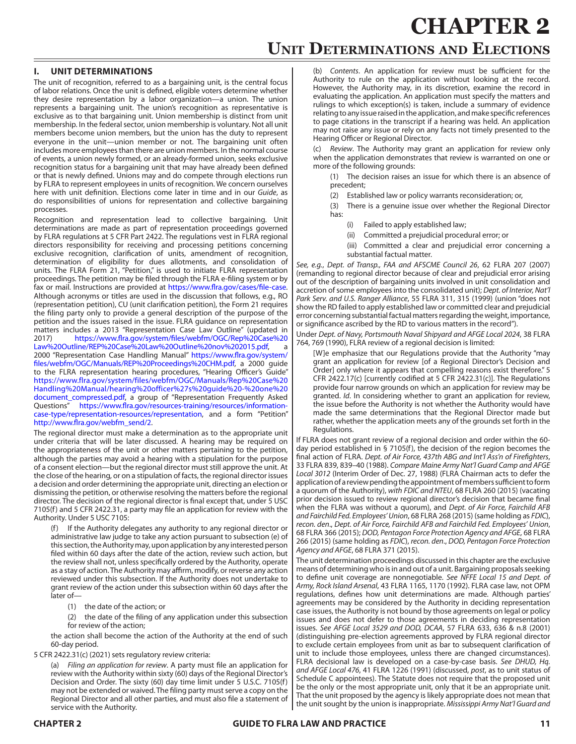# **CHAPTER 2 Unit Determinations and Elections**

# **I. UNIT DETERMINATIONS**

The unit of recognition, referred to as a bargaining unit, is the central focus of labor relations. Once the unit is defined, eligible voters determine whether they desire representation by a labor organization—a union. The union represents a bargaining unit. The union's recognition as representative is exclusive as to that bargaining unit. Union membership is distinct from unit membership. In the federal sector, union membership is voluntary. Not all unit members become union members, but the union has the duty to represent everyone in the unit—union member or not. The bargaining unit often includes more employees than there are union members. In the normal course of events, a union newly formed, or an already-formed union, seeks exclusive recognition status for a bargaining unit that may have already been defined or that is newly defined. Unions may and do compete through elections run by FLRA to represent employees in units of recognition. We concern ourselves here with unit definition. Elections come later in time and in our *Guide*, as do responsibilities of unions for representation and collective bargaining processes.

Recognition and representation lead to collective bargaining. Unit determinations are made as part of representation proceedings governed by FLRA regulations at 5 CFR Part 2422. The regulations vest in FLRA regional directors responsibility for receiving and processing petitions concerning exclusive recognition, clarification of units, amendment of recognition, determination of eligibility for dues allotments, and consolidation of units. The FLRA Form 21, "Petition," is used to initiate FLRA representation proceedings. The petition may be filed through the FLRA e-filing system or by fax or mail. Instructions are provided at <https://www.flra.gov/cases/file-case>. Although acronyms or titles are used in the discussion that follows, e.g., RO (representation petition), CU (unit clarification petition), the Form 21 requires the filing party only to provide a general description of the purpose of the petition and the issues raised in the issue. FLRA guidance on representation matters includes a 2013 "Representation Case Law Outline" (updated in 2017) [https://www.flra.gov/system/files/webfm/OGC/Rep%20Case%20](https://www.flra.gov/system/files/webfm/OGC/Rep Case Law Outline/REP Case Law Outline nov 2015.pdf) [Law%20Outline/REP%20Case%20Law%20Outline%20nov%202015.pdf,](https://www.flra.gov/system/files/webfm/OGC/Rep Case Law Outline/REP Case Law Outline nov 2015.pdf)

2000 "Representation Case Handling Manual" [https://www.flra.gov/system/](https://www.flra.gov/system/files/webfm/OGC/Manuals/REP Proceedings CHM.pdf) [files/webfm/OGC/Manuals/REP%20Proceedings%20CHM.pdf](https://www.flra.gov/system/files/webfm/OGC/Manuals/REP Proceedings CHM.pdf), a 2000 guide to the FLRA representation hearing procedures, "Hearing Officer's Guide" [https://www.flra.gov/system/files/webfm/OGC/Manuals/Rep%20Case%20](https://www.flra.gov/system/files/webfm/OGC/Manuals/Rep Case Handling Manual/hearing officer%27s guide - one document_compressed.pdf) [Handling%20Manual/hearing%20officer%27s%20guide%20-%20one%20](https://www.flra.gov/system/files/webfm/OGC/Manuals/Rep Case Handling Manual/hearing officer%27s guide - one document_compressed.pdf) [document\\_compressed.pdf,](https://www.flra.gov/system/files/webfm/OGC/Manuals/Rep Case Handling Manual/hearing officer%27s guide - one document_compressed.pdf) a group of "Representation Frequently Asked Questions" [https://www.flra.gov/resources-training/resources/information](https://www.flra.gov/resources-training/resources/information-case-type/representation-resources/representation)[case-type/representation-resources/representation,](https://www.flra.gov/resources-training/resources/information-case-type/representation-resources/representation) and a form "Petition" [http://www.flra.gov/webfm\\_send/2.](https://www.flra.gov/system/files/webfm/OGC/Forms/flra_21c.pdf)

The regional director must make a determination as to the appropriate unit under criteria that will be later discussed. A hearing may be required on the appropriateness of the unit or other matters pertaining to the petition, although the parties may avoid a hearing with a stipulation for the purpose of a consent election—but the regional director must still approve the unit. At the close of the hearing, or on a stipulation of facts, the regional director issues a decision and order determining the appropriate unit, directing an election or dismissing the petition, or otherwise resolving the matters before the regional director. The decision of the regional director is final except that, under 5 USC 7105(f) and 5 CFR 2422.31, a party may file an application for review with the Authority. Under 5 USC 7105:

(f) If the Authority delegates any authority to any regional director or administrative law judge to take any action pursuant to subsection (e) of this section, the Authority may, upon application by any interested person filed within 60 days after the date of the action, review such action, but the review shall not, unless specifically ordered by the Authority, operate as a stay of action. The Authority may affirm, modify, or reverse any action reviewed under this subsection. If the Authority does not undertake to grant review of the action under this subsection within 60 days after the later of—

- (1) the date of the action; or
- (2) the date of the filing of any application under this subsection for review of the action;

the action shall become the action of the Authority at the end of such 60-day period.

5 CFR 2422.31(c) (2021) sets regulatory review criteria:

(a) *Filing an application for review*. A party must file an application for review with the Authority within sixty (60) days of the Regional Director's Decision and Order. The sixty (60) day time limit under 5 U.S.C. 7105(f) may not be extended or waived. The filing party must serve a copy on the Regional Director and all other parties, and must also file a statement of service with the Authority.

(b) *Contents*. An application for review must be sufficient for the Authority to rule on the application without looking at the record. However, the Authority may, in its discretion, examine the record in evaluating the application. An application must specify the matters and rulings to which exception(s) is taken, include a summary of evidence relating to any issue raised in the application, and make specific references to page citations in the transcript if a hearing was held. An application may not raise any issue or rely on any facts not timely presented to the Hearing Officer or Regional Director.

(c) *Review*. The Authority may grant an application for review only when the application demonstrates that review is warranted on one or more of the following grounds:

(1) The decision raises an issue for which there is an absence of precedent;

(2) Established law or policy warrants reconsideration; or,

(3) There is a genuine issue over whether the Regional Director has:

- (i) Failed to apply established law;
- (ii) Committed a prejudicial procedural error; or
- (iii) Committed a clear and prejudicial error concerning a substantial factual matter.

*See, e.g.*, *Dept. of Transp., FAA and AFSCME Council 26*, 62 FLRA 207 (2007) (remanding to regional director because of clear and prejudicial error arising out of the description of bargaining units involved in unit consolidation and accretion of some employees into the consolidated unit); *Dept. of Interior, Nat'l Park Serv. and U.S. Ranger Alliance*, 55 FLRA 311, 315 (1999) (union "does not show the RD failed to apply established law or committed clear and prejudicial error concerning substantial factual matters regarding the weight, importance, or significance ascribed by the RD to various matters in the record").

Under *Dept. of Navy, Portsmouth Naval Shipyard and AFGE Local 2024*, 38 FLRA 764, 769 (1990), FLRA review of a regional decision is limited:

[W]e emphasize that our Regulations provide that the Authority "may grant an application for review [of a Regional Director's Decision and Order] only where it appears that compelling reasons exist therefore." 5 CFR 2422.17(c) [currently codified at 5 CFR 2422.31(c)]. The Regulations provide four narrow grounds on which an application for review may be granted. *Id*. In considering whether to grant an application for review, the issue before the Authority is not whether the Authority would have made the same determinations that the Regional Director made but rather, whether the application meets any of the grounds set forth in the Regulations.

If FLRA does not grant review of a regional decision and order within the 60 day period established in § 7105(f), the decision of the region becomes the final action of FLRA. *Dept. of Air Force, 437th ABG and Int'l Ass'n of Firefighters*, 33 FLRA 839, 839–40 (1988). *Compare Maine Army Nat'l Guard Camp and AFGE Local 3012* (Interim Order of Dec. 27, 1988) (FLRA Chairman acts to defer the application of a review pending the appointment of members sufficient to form a quorum of the Authority), *with FDIC and NTEU*, 68 FLRA 260 (2015) (vacating prior decision issued to review regional director's decision that became final when the FLRA was without a quorum), and *Dept. of Air Force, Fairchild AFB and Fairchild Fed. Employees' Union*, 68 FLRA 268 (2015) (same holding as *FDIC*), *recon. den*., *Dept. of Air Force, Fairchild AFB and Fairchild Fed. Employees' Union*, 68 FLRA 366 (2015); *DOD, Pentagon Force Protection Agency and AFGE*, 68 FLRA 266 (2015) (same holding as *FDIC*), *recon. den*., *DOD, Pentagon Force Protection Agency and AFGE*, 68 FLRA 371 (2015).

The unit determination proceedings discussed in this chapter are the exclusive means of determining who is in and out of a unit. Bargaining proposals seeking to define unit coverage are nonnegotiable. *See NFFE Local 15 and Dept. of Army, Rock Island Arsenal*, 43 FLRA 1165, 1170 (1992). FLRA case law, not OPM regulations, defines how unit determinations are made. Although parties' agreements may be considered by the Authority in deciding representation case issues, the Authority is not bound by those agreements on legal or policy issues and does not defer to those agreements in deciding representation issues. *See AFGE Local 3529 and DOD, DCAA*, 57 FLRA 633, 636 & n.8 (2001) (distinguishing pre-election agreements approved by FLRA regional director to exclude certain employees from unit as bar to subsequent clarification of unit to include those employees, unless there are changed circumstances). FLRA decisional law is developed on a case-by-case basis. *See DHUD, Hq. and AFGE Local 476*, 41 FLRA 1226 (1991) (discussed, *post*, as to unit status of Schedule C appointees). The Statute does not require that the proposed unit be the only or the most appropriate unit, only that it be an appropriate unit. That the unit proposed by the agency is likely appropriate does not mean that the unit sought by the union is inappropriate. *Mississippi Army Nat'l Guard and*